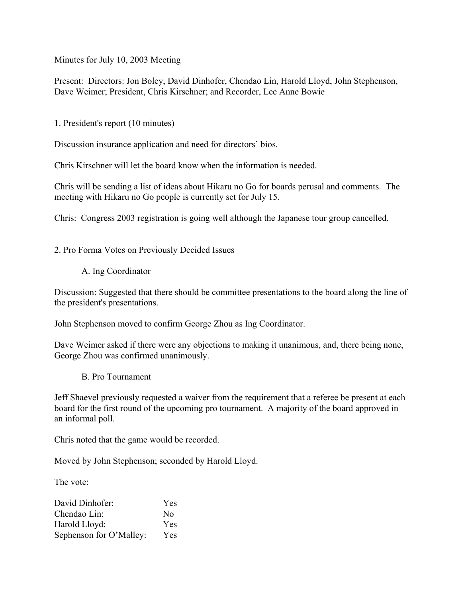Minutes for July 10, 2003 Meeting

Present: Directors: Jon Boley, David Dinhofer, Chendao Lin, Harold Lloyd, John Stephenson, Dave Weimer; President, Chris Kirschner; and Recorder, Lee Anne Bowie

1. President's report (10 minutes)

Discussion insurance application and need for directors' bios.

Chris Kirschner will let the board know when the information is needed.

Chris will be sending a list of ideas about Hikaru no Go for boards perusal and comments. The meeting with Hikaru no Go people is currently set for July 15.

Chris: Congress 2003 registration is going well although the Japanese tour group cancelled.

2. Pro Forma Votes on Previously Decided Issues

A. Ing Coordinator

Discussion: Suggested that there should be committee presentations to the board along the line of the president's presentations.

John Stephenson moved to confirm George Zhou as Ing Coordinator.

Dave Weimer asked if there were any objections to making it unanimous, and, there being none, George Zhou was confirmed unanimously.

B. Pro Tournament

Jeff Shaevel previously requested a waiver from the requirement that a referee be present at each board for the first round of the upcoming pro tournament. A majority of the board approved in an informal poll.

Chris noted that the game would be recorded.

Moved by John Stephenson; seconded by Harold Lloyd.

The vote:

| David Dinhofer:         | Yes        |
|-------------------------|------------|
| Chendao Lin:            | No         |
| Harold Lloyd:           | <b>Yes</b> |
| Sephenson for O'Malley: | Yes        |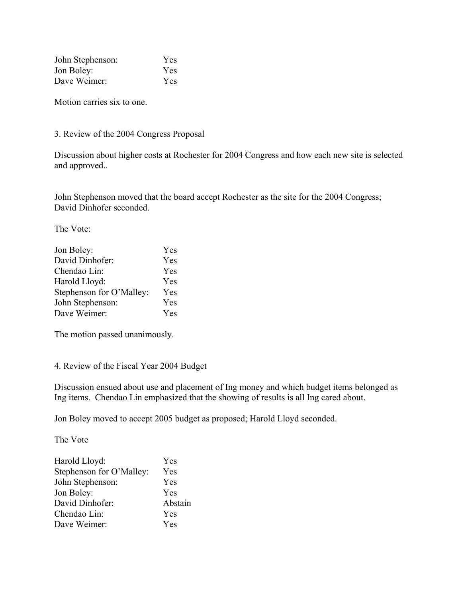| John Stephenson: | Yes        |
|------------------|------------|
| Jon Boley:       | <b>Yes</b> |
| Dave Weimer:     | Yes        |

Motion carries six to one.

3. Review of the 2004 Congress Proposal

Discussion about higher costs at Rochester for 2004 Congress and how each new site is selected and approved..

John Stephenson moved that the board accept Rochester as the site for the 2004 Congress; David Dinhofer seconded.

The Vote:

| Jon Boley:               | Yes |
|--------------------------|-----|
| David Dinhofer:          | Yes |
| Chendao Lin:             | Yes |
| Harold Lloyd:            | Yes |
| Stephenson for O'Malley: | Yes |
| John Stephenson:         | Yes |
| Dave Weimer:             | Yes |

The motion passed unanimously.

4. Review of the Fiscal Year 2004 Budget

Discussion ensued about use and placement of Ing money and which budget items belonged as Ing items. Chendao Lin emphasized that the showing of results is all Ing cared about.

Jon Boley moved to accept 2005 budget as proposed; Harold Lloyd seconded.

The Vote

| Harold Lloyd:            | Yes        |
|--------------------------|------------|
| Stephenson for O'Malley: | Yes        |
| John Stephenson:         | Yes        |
| Jon Boley:               | Yes        |
| David Dinhofer:          | Abstain    |
| Chendao Lin:             | <b>Yes</b> |
| Dave Weimer:             | Yes        |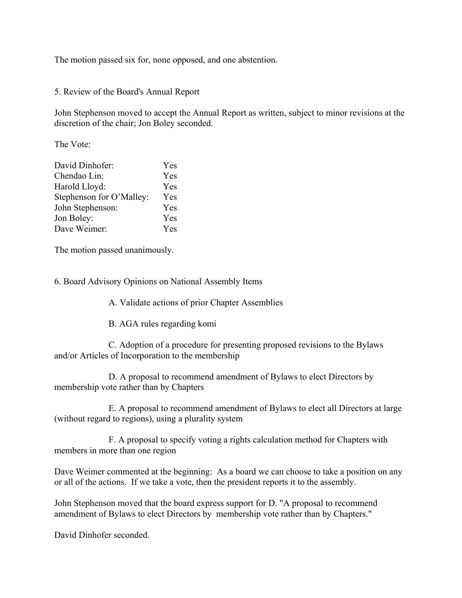The motion passed six for, none opposed, and one abstention.

5. Review of the Board's Annual Report

John Stephenson moved to accept the Annual Report as written, subject to minor revisions at the discretion of the chair; Jon Boley seconded.

The Vote:

| David Dinhofer:          | Yes |
|--------------------------|-----|
| Chendao Lin:             | Yes |
| Harold Lloyd:            | Yes |
| Stephenson for O'Malley: | Yes |
| John Stephenson:         | Yes |
| Jon Boley:               | Yes |
| Dave Weimer:             | Yes |

The motion passed unanimously.

6. Board Advisory Opinions on National Assembly Items

A. Validate actions of prior Chapter Assemblies

B. AGA rules regarding komi

C. Adoption of a procedure for presenting proposed revisions to the Bylaws and/or Articles of Incorporation to the membership

D. A proposal to recommend amendment of Bylaws to elect Directors by membership vote rather than by Chapters

E. A proposal to recommend amendment of Bylaws to elect all Directors at large (without regard to regions), using a plurality system

F. A proposal to specify voting a rights calculation method for Chapters with members in more than one region

Dave Weimer commented at the beginning: As a board we can choose to take a position on any or all of the actions. If we take a vote, then the president reports it to the assembly.

John Stephenson moved that the board express support for D. "A proposal to recommend amendment of Bylaws to elect Directors by membership vote rather than by Chapters."

David Dinhofer seconded.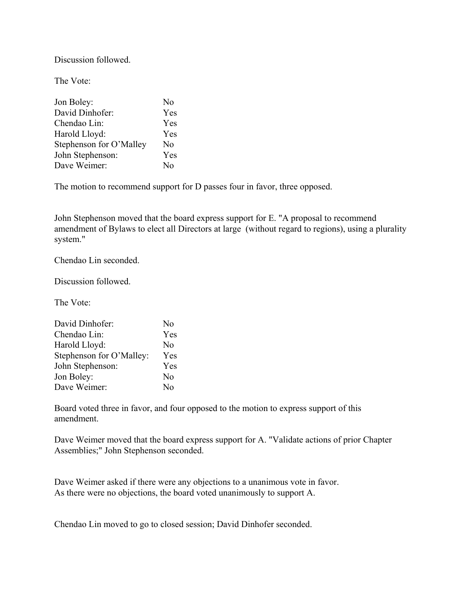Discussion followed.

The Vote:

| Jon Boley:              | N <sub>0</sub> |
|-------------------------|----------------|
| David Dinhofer:         | Yes            |
| Chendao Lin:            | Yes            |
| Harold Lloyd:           | Yes            |
| Stephenson for O'Malley | N <sub>0</sub> |
| John Stephenson:        | Yes            |
| Dave Weimer:            | $N_{\Omega}$   |

The motion to recommend support for D passes four in favor, three opposed.

John Stephenson moved that the board express support for E. "A proposal to recommend amendment of Bylaws to elect all Directors at large (without regard to regions), using a plurality system."

Chendao Lin seconded.

Discussion followed.

The Vote:

| David Dinhofer:          | N <sub>0</sub> |
|--------------------------|----------------|
| Chendao Lin:             | Yes            |
| Harold Lloyd:            | No             |
| Stephenson for O'Malley: | Yes            |
| John Stephenson:         | Yes            |
| Jon Boley:               | No             |
| Dave Weimer:             | No             |

Board voted three in favor, and four opposed to the motion to express support of this amendment.

Dave Weimer moved that the board express support for A. "Validate actions of prior Chapter Assemblies;" John Stephenson seconded.

Dave Weimer asked if there were any objections to a unanimous vote in favor. As there were no objections, the board voted unanimously to support A.

Chendao Lin moved to go to closed session; David Dinhofer seconded.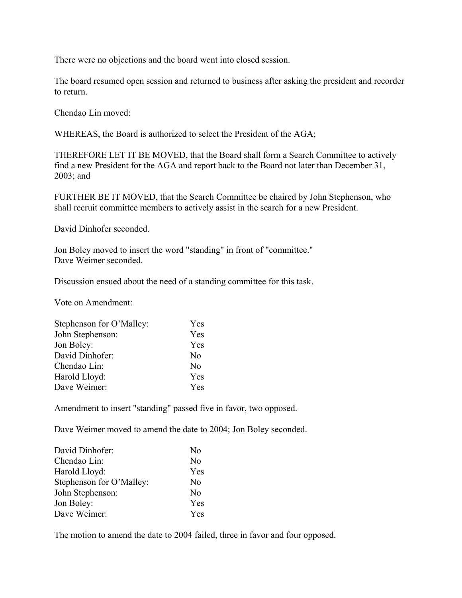There were no objections and the board went into closed session.

The board resumed open session and returned to business after asking the president and recorder to return.

Chendao Lin moved:

WHEREAS, the Board is authorized to select the President of the AGA;

THEREFORE LET IT BE MOVED, that the Board shall form a Search Committee to actively find a new President for the AGA and report back to the Board not later than December 31, 2003; and

FURTHER BE IT MOVED, that the Search Committee be chaired by John Stephenson, who shall recruit committee members to actively assist in the search for a new President.

David Dinhofer seconded.

Jon Boley moved to insert the word "standing" in front of "committee." Dave Weimer seconded.

Discussion ensued about the need of a standing committee for this task.

Vote on Amendment:

| Stephenson for O'Malley: | Yes            |
|--------------------------|----------------|
| John Stephenson:         | Yes            |
| Jon Boley:               | Yes            |
| David Dinhofer:          | N <sub>0</sub> |
| Chendao Lin:             | No             |
| Harold Lloyd:            | Yes            |
| Dave Weimer:             | Yes            |

Amendment to insert "standing" passed five in favor, two opposed.

Dave Weimer moved to amend the date to 2004; Jon Boley seconded.

| David Dinhofer:          | No             |
|--------------------------|----------------|
| Chendao Lin:             | No             |
| Harold Lloyd:            | Yes            |
| Stephenson for O'Malley: | N <sub>0</sub> |
| John Stephenson:         | No             |
| Jon Boley:               | Yes            |
| Dave Weimer:             | Yes            |

The motion to amend the date to 2004 failed, three in favor and four opposed.